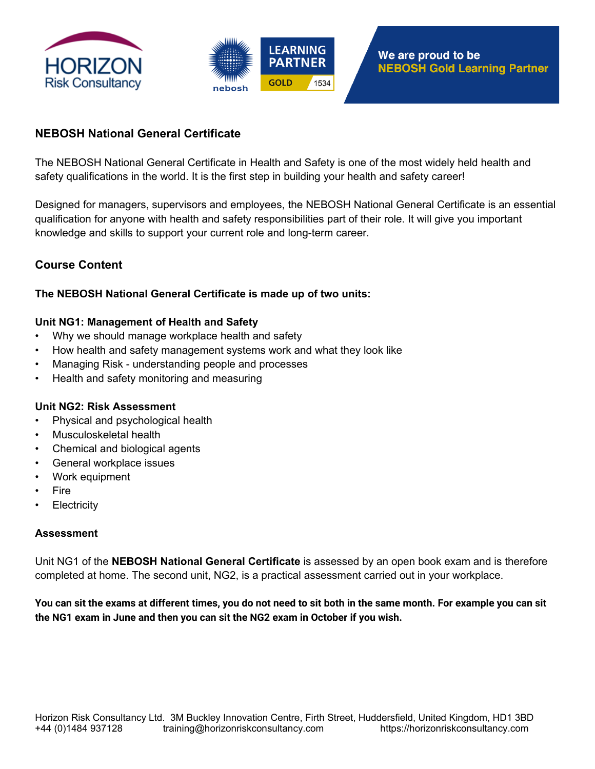



## **NEBOSH National General Certificate**

The NEBOSH National General Certificate in Health and Safety is one of the most widely held health and safety qualifications in the world. It is the first step in building your health and safety career!

Designed for managers, supervisors and employees, the NEBOSH National General Certificate is an essential qualification for anyone with health and safety responsibilities part of their role. It will give you important knowledge and skills to support your current role and long-term career.

# **Course Content**

## **The NEBOSH National General Certificate is made up of two units:**

## **Unit NG1: Management of Health and Safety**

- Why we should manage workplace health and safety
- How health and safety management systems work and what they look like
- Managing Risk understanding people and processes
- Health and safety monitoring and measuring

## **Unit NG2: Risk Assessment**

- Physical and psychological health
- Musculoskeletal health
- Chemical and biological agents
- General workplace issues
- Work equipment
- Fire
- **Electricity**

#### **Assessment**

Unit NG1 of the **NEBOSH National General Certificate** is assessed by an open book exam and is therefore completed at home. The second unit, NG2, is a practical assessment carried out in your workplace.

**You can sit the exams at different times, you do not need to sit both in the same month. For example you can sit the NG1 exam in June and then you can sit the NG2 exam in October if you wish.**